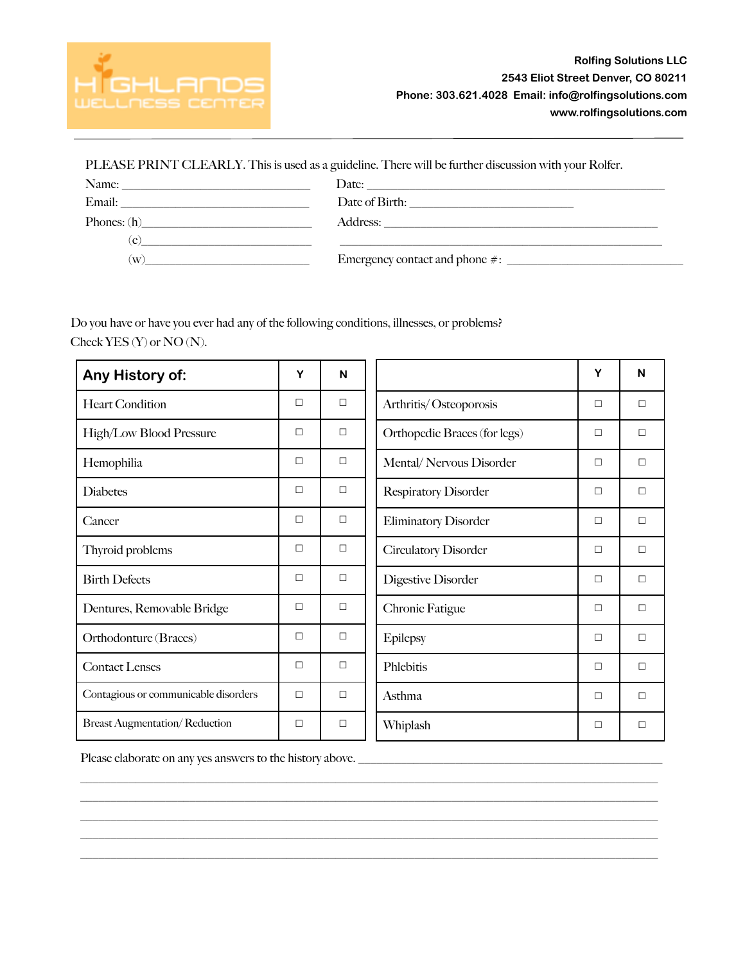

|              | PLEASE PRINT CLEARLY. This is used as a guideline. There will be further discussion with your Rolfer. |  |
|--------------|-------------------------------------------------------------------------------------------------------|--|
| Name:        |                                                                                                       |  |
|              |                                                                                                       |  |
|              | Address: <u>Communication</u>                                                                         |  |
|              | $\left( \mathbf{c}\right)$                                                                            |  |
| $\mathbf{w}$ |                                                                                                       |  |

Do you have or have you ever had any of the following conditions, illnesses, or problems? Check YES (Y) or NO (N).

| Any History of:                       | Y      | N      |                              | Y      | $\mathsf{N}$ |
|---------------------------------------|--------|--------|------------------------------|--------|--------------|
| <b>Heart Condition</b>                | $\Box$ | $\Box$ | Arthritis/Osteoporosis       | $\Box$ | $\Box$       |
| High/Low Blood Pressure               | $\Box$ | $\Box$ | Orthopedic Braces (for legs) | $\Box$ | $\Box$       |
| Hemophilia                            | $\Box$ | $\Box$ | Mental/Nervous Disorder      | $\Box$ | $\Box$       |
| <b>Diabetes</b>                       | $\Box$ | $\Box$ | <b>Respiratory Disorder</b>  | $\Box$ | $\Box$       |
| Cancer                                | $\Box$ | $\Box$ | <b>Eliminatory Disorder</b>  | $\Box$ | $\Box$       |
| Thyroid problems                      | $\Box$ | $\Box$ | <b>Circulatory Disorder</b>  | $\Box$ | $\Box$       |
| <b>Birth Defects</b>                  | $\Box$ | $\Box$ | <b>Digestive Disorder</b>    | $\Box$ | $\Box$       |
| Dentures, Removable Bridge            | $\Box$ | $\Box$ | Chronic Fatigue              | $\Box$ | $\Box$       |
| Orthodonture (Braces)                 | $\Box$ | $\Box$ | Epilepsy                     | □      | $\Box$       |
| <b>Contact Lenses</b>                 | $\Box$ | $\Box$ | Phlebitis                    | $\Box$ | $\Box$       |
| Contagious or communicable disorders  | $\Box$ | $\Box$ | Asthma                       | □      | $\Box$       |
| <b>Breast Augmentation/ Reduction</b> | $\Box$ | $\Box$ | Whiplash                     | □      | $\Box$       |

\_\_\_\_\_\_\_\_\_\_\_\_\_\_\_\_\_\_\_\_\_\_\_\_\_\_\_\_\_\_\_\_\_\_\_\_\_\_\_\_\_\_\_\_\_\_\_\_\_\_\_\_\_\_\_\_\_\_\_\_\_\_\_\_\_\_\_\_\_\_\_\_\_\_\_\_\_\_\_\_\_\_\_\_\_\_\_\_\_\_\_\_\_\_\_ \_\_\_\_\_\_\_\_\_\_\_\_\_\_\_\_\_\_\_\_\_\_\_\_\_\_\_\_\_\_\_\_\_\_\_\_\_\_\_\_\_\_\_\_\_\_\_\_\_\_\_\_\_\_\_\_\_\_\_\_\_\_\_\_\_\_\_\_\_\_\_\_\_\_\_\_\_\_\_\_\_\_\_\_\_\_\_\_\_\_\_\_\_\_\_ \_\_\_\_\_\_\_\_\_\_\_\_\_\_\_\_\_\_\_\_\_\_\_\_\_\_\_\_\_\_\_\_\_\_\_\_\_\_\_\_\_\_\_\_\_\_\_\_\_\_\_\_\_\_\_\_\_\_\_\_\_\_\_\_\_\_\_\_\_\_\_\_\_\_\_\_\_\_\_\_\_\_\_\_\_\_\_\_\_\_\_\_\_\_\_ \_\_\_\_\_\_\_\_\_\_\_\_\_\_\_\_\_\_\_\_\_\_\_\_\_\_\_\_\_\_\_\_\_\_\_\_\_\_\_\_\_\_\_\_\_\_\_\_\_\_\_\_\_\_\_\_\_\_\_\_\_\_\_\_\_\_\_\_\_\_\_\_\_\_\_\_\_\_\_\_\_\_\_\_\_\_\_\_\_\_\_\_\_\_\_ \_\_\_\_\_\_\_\_\_\_\_\_\_\_\_\_\_\_\_\_\_\_\_\_\_\_\_\_\_\_\_\_\_\_\_\_\_\_\_\_\_\_\_\_\_\_\_\_\_\_\_\_\_\_\_\_\_\_\_\_\_\_\_\_\_\_\_\_\_\_\_\_\_\_\_\_\_\_\_\_\_\_\_\_\_\_\_\_\_\_\_\_\_\_\_

Please elaborate on any yes answers to the history above. \_\_\_\_\_\_\_\_\_\_\_\_\_\_\_\_\_\_\_\_\_\_\_\_\_\_\_\_\_\_\_\_\_\_\_\_\_\_\_\_\_\_\_\_\_\_\_\_\_\_